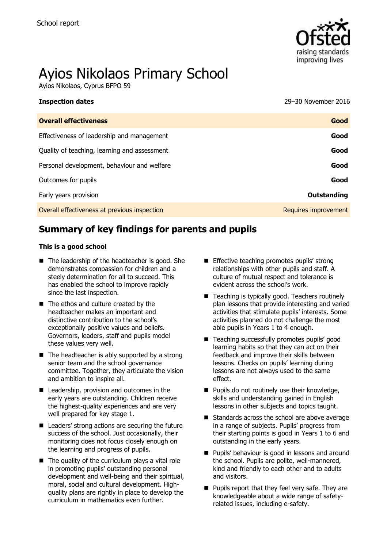

# Ayios Nikolaos Primary School

Ayios Nikolaos, Cyprus BFPO 59

| <b>Inspection dates</b> | 29-30 November 2016 |
|-------------------------|---------------------|
|                         |                     |

| Good                 |
|----------------------|
| Good                 |
| Good                 |
| Good                 |
| Good                 |
| Outstanding          |
| Requires improvement |
|                      |

# **Summary of key findings for parents and pupils**

#### **This is a good school**

- The leadership of the headteacher is good. She demonstrates compassion for children and a steely determination for all to succeed. This has enabled the school to improve rapidly since the last inspection.
- The ethos and culture created by the headteacher makes an important and distinctive contribution to the school's exceptionally positive values and beliefs. Governors, leaders, staff and pupils model these values very well.
- $\blacksquare$  The headteacher is ably supported by a strong senior team and the school governance committee. Together, they articulate the vision and ambition to inspire all.
- Leadership, provision and outcomes in the early years are outstanding. Children receive the highest-quality experiences and are very well prepared for key stage 1.
- Leaders' strong actions are securing the future success of the school. Just occasionally, their monitoring does not focus closely enough on the learning and progress of pupils.
- $\blacksquare$  The quality of the curriculum plays a vital role in promoting pupils' outstanding personal development and well-being and their spiritual, moral, social and cultural development. Highquality plans are rightly in place to develop the curriculum in mathematics even further.
- **Effective teaching promotes pupils' strong** relationships with other pupils and staff. A culture of mutual respect and tolerance is evident across the school's work.
- Teaching is typically good. Teachers routinely plan lessons that provide interesting and varied activities that stimulate pupils' interests. Some activities planned do not challenge the most able pupils in Years 1 to 4 enough.
- Teaching successfully promotes pupils' good learning habits so that they can act on their feedback and improve their skills between lessons. Checks on pupils' learning during lessons are not always used to the same effect.
- **Pupils do not routinely use their knowledge,** skills and understanding gained in English lessons in other subjects and topics taught.
- Standards across the school are above average in a range of subjects. Pupils' progress from their starting points is good in Years 1 to 6 and outstanding in the early years.
- **Pupils' behaviour is good in lessons and around** the school. Pupils are polite, well-mannered, kind and friendly to each other and to adults and visitors.
- **Pupils report that they feel very safe. They are** knowledgeable about a wide range of safetyrelated issues, including e-safety.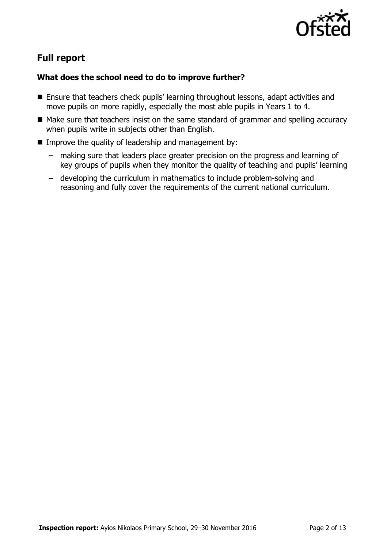

# **Full report**

### **What does the school need to do to improve further?**

- Ensure that teachers check pupils' learning throughout lessons, adapt activities and move pupils on more rapidly, especially the most able pupils in Years 1 to 4.
- Make sure that teachers insist on the same standard of grammar and spelling accuracy when pupils write in subjects other than English.
- Improve the quality of leadership and management by:
	- making sure that leaders place greater precision on the progress and learning of key groups of pupils when they monitor the quality of teaching and pupils' learning
	- developing the curriculum in mathematics to include problem-solving and reasoning and fully cover the requirements of the current national curriculum.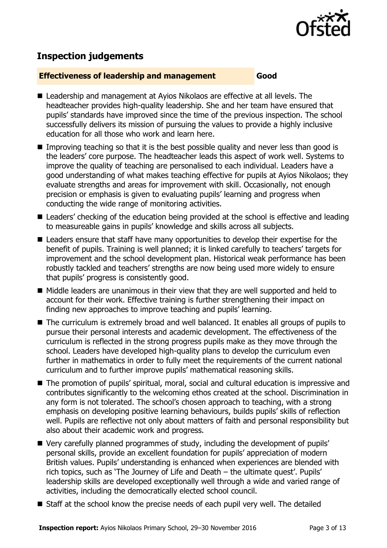

# **Inspection judgements**

#### **Effectiveness of leadership and management Good**

- Leadership and management at Ayios Nikolaos are effective at all levels. The headteacher provides high-quality leadership. She and her team have ensured that pupils' standards have improved since the time of the previous inspection. The school successfully delivers its mission of pursuing the values to provide a highly inclusive education for all those who work and learn here.
- Improving teaching so that it is the best possible quality and never less than good is the leaders' core purpose. The headteacher leads this aspect of work well. Systems to improve the quality of teaching are personalised to each individual. Leaders have a good understanding of what makes teaching effective for pupils at Ayios Nikolaos; they evaluate strengths and areas for improvement with skill. Occasionally, not enough precision or emphasis is given to evaluating pupils' learning and progress when conducting the wide range of monitoring activities.
- Leaders' checking of the education being provided at the school is effective and leading to measureable gains in pupils' knowledge and skills across all subjects.
- Leaders ensure that staff have many opportunities to develop their expertise for the benefit of pupils. Training is well planned; it is linked carefully to teachers' targets for improvement and the school development plan. Historical weak performance has been robustly tackled and teachers' strengths are now being used more widely to ensure that pupils' progress is consistently good.
- Middle leaders are unanimous in their view that they are well supported and held to account for their work. Effective training is further strengthening their impact on finding new approaches to improve teaching and pupils' learning.
- The curriculum is extremely broad and well balanced. It enables all groups of pupils to pursue their personal interests and academic development. The effectiveness of the curriculum is reflected in the strong progress pupils make as they move through the school. Leaders have developed high-quality plans to develop the curriculum even further in mathematics in order to fully meet the requirements of the current national curriculum and to further improve pupils' mathematical reasoning skills.
- The promotion of pupils' spiritual, moral, social and cultural education is impressive and contributes significantly to the welcoming ethos created at the school. Discrimination in any form is not tolerated. The school's chosen approach to teaching, with a strong emphasis on developing positive learning behaviours, builds pupils' skills of reflection well. Pupils are reflective not only about matters of faith and personal responsibility but also about their academic work and progress.
- Very carefully planned programmes of study, including the development of pupils' personal skills, provide an excellent foundation for pupils' appreciation of modern British values. Pupils' understanding is enhanced when experiences are blended with rich topics, such as 'The Journey of Life and Death – the ultimate quest'. Pupils' leadership skills are developed exceptionally well through a wide and varied range of activities, including the democratically elected school council.
- Staff at the school know the precise needs of each pupil very well. The detailed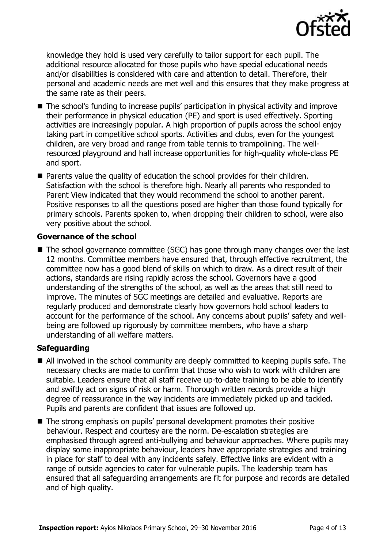

knowledge they hold is used very carefully to tailor support for each pupil. The additional resource allocated for those pupils who have special educational needs and/or disabilities is considered with care and attention to detail. Therefore, their personal and academic needs are met well and this ensures that they make progress at the same rate as their peers.

- The school's funding to increase pupils' participation in physical activity and improve their performance in physical education (PE) and sport is used effectively. Sporting activities are increasingly popular. A high proportion of pupils across the school enjoy taking part in competitive school sports. Activities and clubs, even for the youngest children, are very broad and range from table tennis to trampolining. The wellresourced playground and hall increase opportunities for high-quality whole-class PE and sport.
- **Parents value the quality of education the school provides for their children.** Satisfaction with the school is therefore high. Nearly all parents who responded to Parent View indicated that they would recommend the school to another parent. Positive responses to all the questions posed are higher than those found typically for primary schools. Parents spoken to, when dropping their children to school, were also very positive about the school.

#### **Governance of the school**

■ The school governance committee (SGC) has gone through many changes over the last 12 months. Committee members have ensured that, through effective recruitment, the committee now has a good blend of skills on which to draw. As a direct result of their actions, standards are rising rapidly across the school. Governors have a good understanding of the strengths of the school, as well as the areas that still need to improve. The minutes of SGC meetings are detailed and evaluative. Reports are regularly produced and demonstrate clearly how governors hold school leaders to account for the performance of the school. Any concerns about pupils' safety and wellbeing are followed up rigorously by committee members, who have a sharp understanding of all welfare matters.

### **Safeguarding**

- All involved in the school community are deeply committed to keeping pupils safe. The necessary checks are made to confirm that those who wish to work with children are suitable. Leaders ensure that all staff receive up-to-date training to be able to identify and swiftly act on signs of risk or harm. Thorough written records provide a high degree of reassurance in the way incidents are immediately picked up and tackled. Pupils and parents are confident that issues are followed up.
- The strong emphasis on pupils' personal development promotes their positive behaviour. Respect and courtesy are the norm. De-escalation strategies are emphasised through agreed anti-bullying and behaviour approaches. Where pupils may display some inappropriate behaviour, leaders have appropriate strategies and training in place for staff to deal with any incidents safely. Effective links are evident with a range of outside agencies to cater for vulnerable pupils. The leadership team has ensured that all safeguarding arrangements are fit for purpose and records are detailed and of high quality.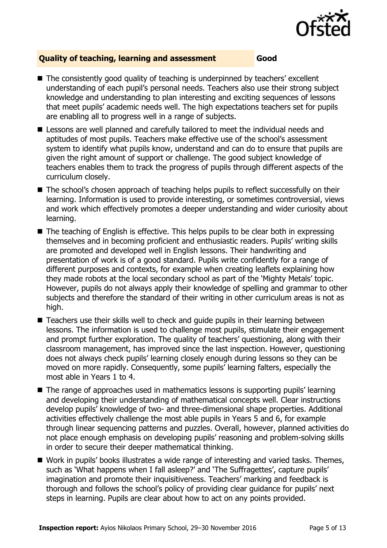

#### **Quality of teaching, learning and assessment Good**

- The consistently good quality of teaching is underpinned by teachers' excellent understanding of each pupil's personal needs. Teachers also use their strong subject knowledge and understanding to plan interesting and exciting sequences of lessons that meet pupils' academic needs well. The high expectations teachers set for pupils are enabling all to progress well in a range of subjects.
- Lessons are well planned and carefully tailored to meet the individual needs and aptitudes of most pupils. Teachers make effective use of the school's assessment system to identify what pupils know, understand and can do to ensure that pupils are given the right amount of support or challenge. The good subject knowledge of teachers enables them to track the progress of pupils through different aspects of the curriculum closely.
- The school's chosen approach of teaching helps pupils to reflect successfully on their learning. Information is used to provide interesting, or sometimes controversial, views and work which effectively promotes a deeper understanding and wider curiosity about learning.
- The teaching of English is effective. This helps pupils to be clear both in expressing themselves and in becoming proficient and enthusiastic readers. Pupils' writing skills are promoted and developed well in English lessons. Their handwriting and presentation of work is of a good standard. Pupils write confidently for a range of different purposes and contexts, for example when creating leaflets explaining how they made robots at the local secondary school as part of the 'Mighty Metals' topic. However, pupils do not always apply their knowledge of spelling and grammar to other subjects and therefore the standard of their writing in other curriculum areas is not as high.
- Teachers use their skills well to check and guide pupils in their learning between lessons. The information is used to challenge most pupils, stimulate their engagement and prompt further exploration. The quality of teachers' questioning, along with their classroom management, has improved since the last inspection. However, questioning does not always check pupils' learning closely enough during lessons so they can be moved on more rapidly. Consequently, some pupils' learning falters, especially the most able in Years 1 to 4.
- The range of approaches used in mathematics lessons is supporting pupils' learning and developing their understanding of mathematical concepts well. Clear instructions develop pupils' knowledge of two- and three-dimensional shape properties. Additional activities effectively challenge the most able pupils in Years 5 and 6, for example through linear sequencing patterns and puzzles. Overall, however, planned activities do not place enough emphasis on developing pupils' reasoning and problem-solving skills in order to secure their deeper mathematical thinking.
- Work in pupils' books illustrates a wide range of interesting and varied tasks. Themes, such as 'What happens when I fall asleep?' and 'The Suffragettes', capture pupils' imagination and promote their inquisitiveness. Teachers' marking and feedback is thorough and follows the school's policy of providing clear guidance for pupils' next steps in learning. Pupils are clear about how to act on any points provided.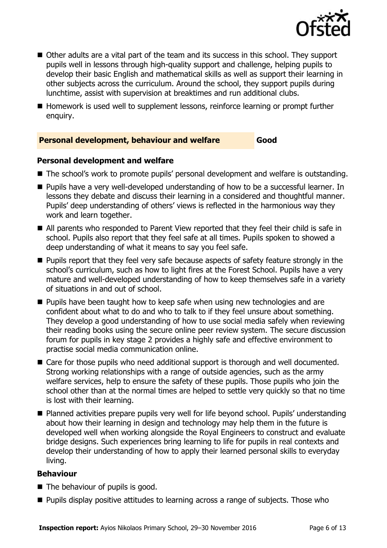

- Other adults are a vital part of the team and its success in this school. They support pupils well in lessons through high-quality support and challenge, helping pupils to develop their basic English and mathematical skills as well as support their learning in other subjects across the curriculum. Around the school, they support pupils during lunchtime, assist with supervision at breaktimes and run additional clubs.
- Homework is used well to supplement lessons, reinforce learning or prompt further enquiry.

### **Personal development, behaviour and welfare Good**

#### **Personal development and welfare**

- The school's work to promote pupils' personal development and welfare is outstanding.
- **Pupils have a very well-developed understanding of how to be a successful learner. In** lessons they debate and discuss their learning in a considered and thoughtful manner. Pupils' deep understanding of others' views is reflected in the harmonious way they work and learn together.
- All parents who responded to Parent View reported that they feel their child is safe in school. Pupils also report that they feel safe at all times. Pupils spoken to showed a deep understanding of what it means to say you feel safe.
- **Pupils report that they feel very safe because aspects of safety feature strongly in the** school's curriculum, such as how to light fires at the Forest School. Pupils have a very mature and well-developed understanding of how to keep themselves safe in a variety of situations in and out of school.
- **Pupils have been taught how to keep safe when using new technologies and are** confident about what to do and who to talk to if they feel unsure about something. They develop a good understanding of how to use social media safely when reviewing their reading books using the secure online peer review system. The secure discussion forum for pupils in key stage 2 provides a highly safe and effective environment to practise social media communication online.
- Care for those pupils who need additional support is thorough and well documented. Strong working relationships with a range of outside agencies, such as the army welfare services, help to ensure the safety of these pupils. Those pupils who join the school other than at the normal times are helped to settle very quickly so that no time is lost with their learning.
- Planned activities prepare pupils very well for life beyond school. Pupils' understanding about how their learning in design and technology may help them in the future is developed well when working alongside the Royal Engineers to construct and evaluate bridge designs. Such experiences bring learning to life for pupils in real contexts and develop their understanding of how to apply their learned personal skills to everyday living.

### **Behaviour**

- The behaviour of pupils is good.
- **Pupils display positive attitudes to learning across a range of subjects. Those who**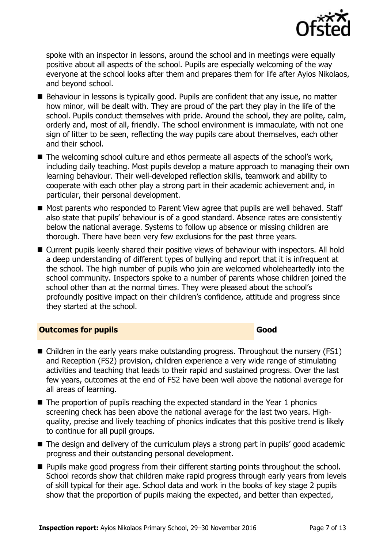

spoke with an inspector in lessons, around the school and in meetings were equally positive about all aspects of the school. Pupils are especially welcoming of the way everyone at the school looks after them and prepares them for life after Ayios Nikolaos, and beyond school.

- Behaviour in lessons is typically good. Pupils are confident that any issue, no matter how minor, will be dealt with. They are proud of the part they play in the life of the school. Pupils conduct themselves with pride. Around the school, they are polite, calm, orderly and, most of all, friendly. The school environment is immaculate, with not one sign of litter to be seen, reflecting the way pupils care about themselves, each other and their school.
- The welcoming school culture and ethos permeate all aspects of the school's work, including daily teaching. Most pupils develop a mature approach to managing their own learning behaviour. Their well-developed reflection skills, teamwork and ability to cooperate with each other play a strong part in their academic achievement and, in particular, their personal development.
- Most parents who responded to Parent View agree that pupils are well behaved. Staff also state that pupils' behaviour is of a good standard. Absence rates are consistently below the national average. Systems to follow up absence or missing children are thorough. There have been very few exclusions for the past three years.
- Current pupils keenly shared their positive views of behaviour with inspectors. All hold a deep understanding of different types of bullying and report that it is infrequent at the school. The high number of pupils who join are welcomed wholeheartedly into the school community. Inspectors spoke to a number of parents whose children joined the school other than at the normal times. They were pleased about the school's profoundly positive impact on their children's confidence, attitude and progress since they started at the school.

#### **Outcomes for pupils Good Good**

- Children in the early years make outstanding progress. Throughout the nursery (FS1) and Reception (FS2) provision, children experience a very wide range of stimulating activities and teaching that leads to their rapid and sustained progress. Over the last few years, outcomes at the end of FS2 have been well above the national average for all areas of learning.
- The proportion of pupils reaching the expected standard in the Year 1 phonics screening check has been above the national average for the last two years. Highquality, precise and lively teaching of phonics indicates that this positive trend is likely to continue for all pupil groups.
- The design and delivery of the curriculum plays a strong part in pupils' good academic progress and their outstanding personal development.
- **Pupils make good progress from their different starting points throughout the school.** School records show that children make rapid progress through early years from levels of skill typical for their age. School data and work in the books of key stage 2 pupils show that the proportion of pupils making the expected, and better than expected,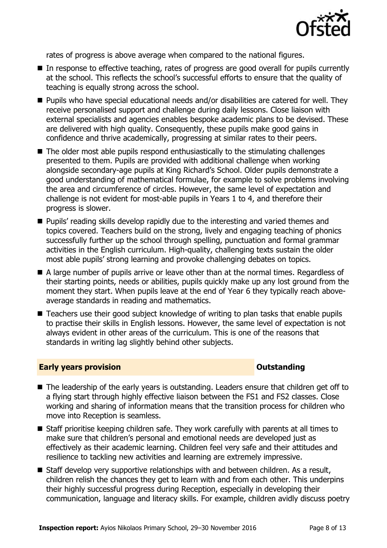

rates of progress is above average when compared to the national figures.

- In response to effective teaching, rates of progress are good overall for pupils currently at the school. This reflects the school's successful efforts to ensure that the quality of teaching is equally strong across the school.
- **Pupils who have special educational needs and/or disabilities are catered for well. They** receive personalised support and challenge during daily lessons. Close liaison with external specialists and agencies enables bespoke academic plans to be devised. These are delivered with high quality. Consequently, these pupils make good gains in confidence and thrive academically, progressing at similar rates to their peers.
- The older most able pupils respond enthusiastically to the stimulating challenges presented to them. Pupils are provided with additional challenge when working alongside secondary-age pupils at King Richard's School. Older pupils demonstrate a good understanding of mathematical formulae, for example to solve problems involving the area and circumference of circles. However, the same level of expectation and challenge is not evident for most-able pupils in Years 1 to 4, and therefore their progress is slower.
- **Pupils'** reading skills develop rapidly due to the interesting and varied themes and topics covered. Teachers build on the strong, lively and engaging teaching of phonics successfully further up the school through spelling, punctuation and formal grammar activities in the English curriculum. High-quality, challenging texts sustain the older most able pupils' strong learning and provoke challenging debates on topics.
- A large number of pupils arrive or leave other than at the normal times. Regardless of their starting points, needs or abilities, pupils quickly make up any lost ground from the moment they start. When pupils leave at the end of Year 6 they typically reach aboveaverage standards in reading and mathematics.
- Teachers use their good subject knowledge of writing to plan tasks that enable pupils to practise their skills in English lessons. However, the same level of expectation is not always evident in other areas of the curriculum. This is one of the reasons that standards in writing lag slightly behind other subjects.

#### **Early years provision CONSTANDING TO A RESEARCH CONSTANDING TO A RESEARCH CONSTANDING TO A RESEARCH CONSTANDING TO A RESEARCH CONSTANDING TO A RESEARCH CONSTANDING TO A RESEARCH CONSTANDING TO A RESEARCH CONSTANDING TO**

- The leadership of the early years is outstanding. Leaders ensure that children get off to a flying start through highly effective liaison between the FS1 and FS2 classes. Close working and sharing of information means that the transition process for children who move into Reception is seamless.
- Staff prioritise keeping children safe. They work carefully with parents at all times to make sure that children's personal and emotional needs are developed just as effectively as their academic learning. Children feel very safe and their attitudes and resilience to tackling new activities and learning are extremely impressive.
- Staff develop very supportive relationships with and between children. As a result, children relish the chances they get to learn with and from each other. This underpins their highly successful progress during Reception, especially in developing their communication, language and literacy skills. For example, children avidly discuss poetry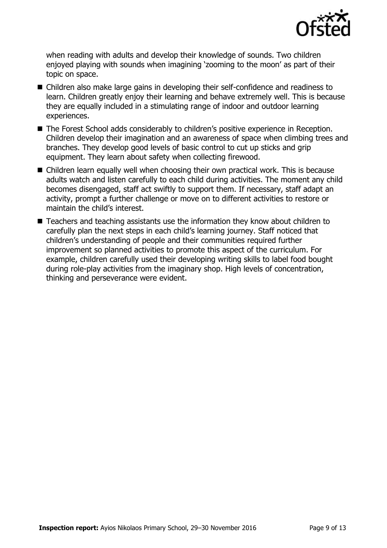

when reading with adults and develop their knowledge of sounds. Two children enjoyed playing with sounds when imagining 'zooming to the moon' as part of their topic on space.

- Children also make large gains in developing their self-confidence and readiness to learn. Children greatly enjoy their learning and behave extremely well. This is because they are equally included in a stimulating range of indoor and outdoor learning experiences.
- The Forest School adds considerably to children's positive experience in Reception. Children develop their imagination and an awareness of space when climbing trees and branches. They develop good levels of basic control to cut up sticks and grip equipment. They learn about safety when collecting firewood.
- Children learn equally well when choosing their own practical work. This is because adults watch and listen carefully to each child during activities. The moment any child becomes disengaged, staff act swiftly to support them. If necessary, staff adapt an activity, prompt a further challenge or move on to different activities to restore or maintain the child's interest.
- Teachers and teaching assistants use the information they know about children to carefully plan the next steps in each child's learning journey. Staff noticed that children's understanding of people and their communities required further improvement so planned activities to promote this aspect of the curriculum. For example, children carefully used their developing writing skills to label food bought during role-play activities from the imaginary shop. High levels of concentration, thinking and perseverance were evident.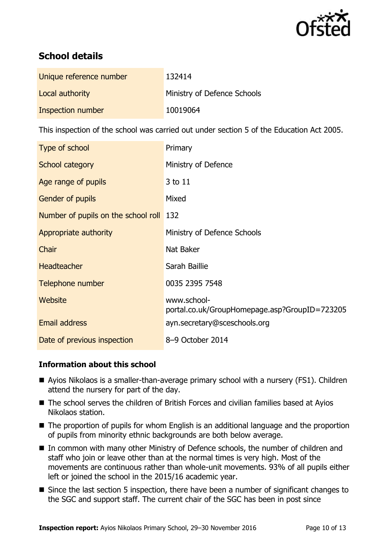

# **School details**

| Unique reference number  | 132414                      |
|--------------------------|-----------------------------|
| Local authority          | Ministry of Defence Schools |
| <b>Inspection number</b> | 10019064                    |

This inspection of the school was carried out under section 5 of the Education Act 2005.

| Type of school                      | Primary                                                      |
|-------------------------------------|--------------------------------------------------------------|
| School category                     | Ministry of Defence                                          |
| Age range of pupils                 | 3 to 11                                                      |
| <b>Gender of pupils</b>             | Mixed                                                        |
| Number of pupils on the school roll | 132                                                          |
| Appropriate authority               | Ministry of Defence Schools                                  |
| Chair                               | Nat Baker                                                    |
| <b>Headteacher</b>                  | Sarah Baillie                                                |
| Telephone number                    | 0035 2395 7548                                               |
| Website                             | www.school-<br>portal.co.uk/GroupHomepage.asp?GroupID=723205 |
| <b>Email address</b>                | ayn.secretary@sceschools.org                                 |
| Date of previous inspection         | 8-9 October 2014                                             |

### **Information about this school**

- Ayios Nikolaos is a smaller-than-average primary school with a nursery (FS1). Children attend the nursery for part of the day.
- The school serves the children of British Forces and civilian families based at Ayios Nikolaos station.
- The proportion of pupils for whom English is an additional language and the proportion of pupils from minority ethnic backgrounds are both below average.
- In common with many other Ministry of Defence schools, the number of children and staff who join or leave other than at the normal times is very high. Most of the movements are continuous rather than whole-unit movements. 93% of all pupils either left or joined the school in the 2015/16 academic year.
- Since the last section 5 inspection, there have been a number of significant changes to the SGC and support staff. The current chair of the SGC has been in post since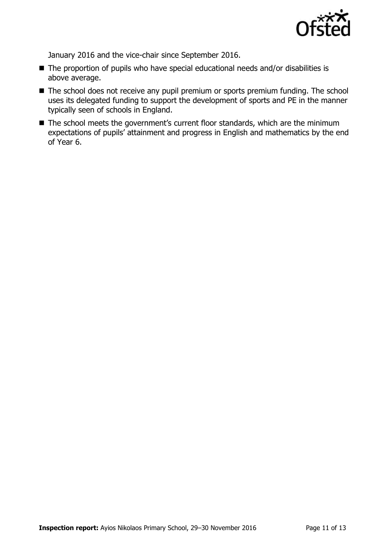

January 2016 and the vice-chair since September 2016.

- The proportion of pupils who have special educational needs and/or disabilities is above average.
- The school does not receive any pupil premium or sports premium funding. The school uses its delegated funding to support the development of sports and PE in the manner typically seen of schools in England.
- The school meets the government's current floor standards, which are the minimum expectations of pupils' attainment and progress in English and mathematics by the end of Year 6.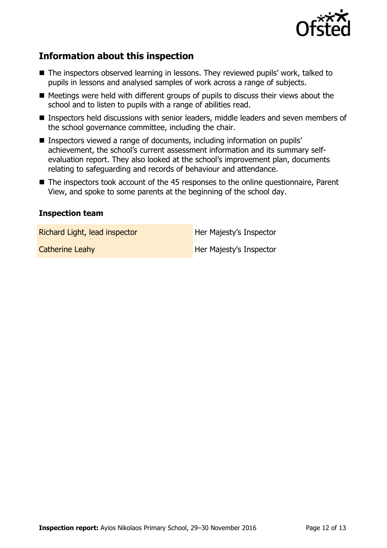

## **Information about this inspection**

- The inspectors observed learning in lessons. They reviewed pupils' work, talked to pupils in lessons and analysed samples of work across a range of subjects.
- $\blacksquare$  Meetings were held with different groups of pupils to discuss their views about the school and to listen to pupils with a range of abilities read.
- Inspectors held discussions with senior leaders, middle leaders and seven members of the school governance committee, including the chair.
- Inspectors viewed a range of documents, including information on pupils' achievement, the school's current assessment information and its summary selfevaluation report. They also looked at the school's improvement plan, documents relating to safeguarding and records of behaviour and attendance.
- The inspectors took account of the 45 responses to the online questionnaire, Parent View, and spoke to some parents at the beginning of the school day.

#### **Inspection team**

Richard Light, lead inspector **Her Majesty's Inspector** 

**Catherine Leahy Exercise Serverse Exercise Serverse Exercise Serverse Exercise Serverse Exercise Serverse Exercise Serverse Exercise Serverse Exercise Serverse Exercise Serverse Exercise Serverse Exercise Serverse Servers**